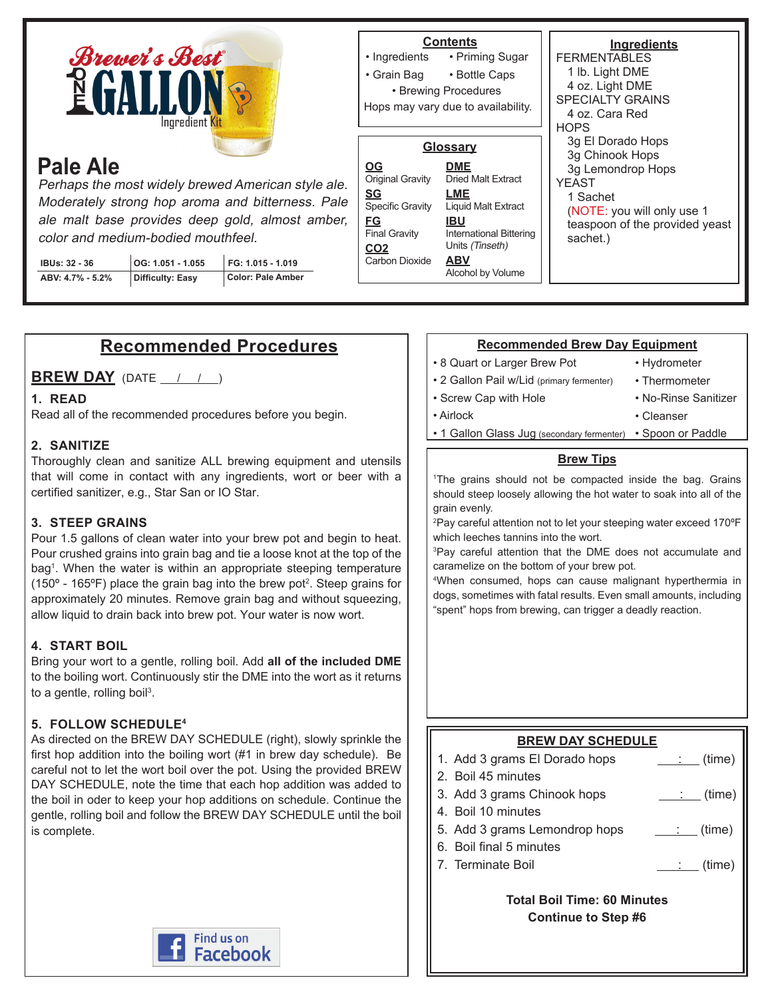

# **Pale Ale**

Perhaps the most widely brewed American style ale. Moderately strong hop aroma and bitterness. Pale ale malt base provides deep gold, almost amber, color and medium-bodied mouthfeel.

| <b>IBUs: 32 - 36</b> | OG: 1.051 - 1.055 | FG: 1.015 - 1.019 |
|----------------------|-------------------|-------------------|
| ABV: 4.7% - 5.2%     | Difficulty: Easy  | Color: Pale Amber |

#### **Ingredients FERMENTABLES** 1 lb. Light DME 4 oz. Light DME SPECIALTY GRAINS 4 oz. Cara Red **HOPS** 3g El Dorado Hops 3g Chinook Hops 3g Lemondrop Hops YEAST 1 Sachet (NOTE: you will only use 1 teaspoon of the provided yeast sachet.) **Contents** • Priming Sugar • Bottle Caps • Ingredients • Grain Bag • Brewing Procedures **Glossary DME** Dried Malt Extract **LME** Liquid Malt Extract **IBU** International Bittering Units (Tinseth) **ABV** Alcohol by Volume **OG** Original Gravity **SG** Specific Gravity **FG** Final Gravity **CO2 Carbon Dioxide** Hops may vary due to availability.

# **Recommended Procedures**

**BREW DAY** (DATE / / )

## **1. READ**

Read all of the recommended procedures before you begin.

## **2. SANITIZE**

Thoroughly clean and sanitize ALL brewing equipment and utensils that will come in contact with any ingredients, wort or beer with a certified sanitizer, e.g., Star San or IO Star.

## **3. STEEP GRAINS**

Pour 1.5 gallons of clean water into your brew pot and begin to heat. Pour crushed grains into grain bag and tie a loose knot at the top of the bag1 . When the water is within an appropriate steeping temperature (150 $\textdegree$  - 165 $\textdegree$ F) place the grain bag into the brew pot<sup>2</sup>. Steep grains for approximately 20 minutes. Remove grain bag and without squeezing, allow liquid to drain back into brew pot. Your water is now wort.

## **4. START BOIL**

Bring your wort to a gentle, rolling boil. Add **all of the included DME** to the boiling wort. Continuously stir the DME into the wort as it returns to a gentle, rolling boil<sup>3</sup>.

## **5. FOLLOW SCHEDULE4**

As directed on the BREW DAY SCHEDULE (right), slowly sprinkle the first hop addition into the boiling wort (#1 in brew day schedule). Be careful not to let the wort boil over the pot. Using the provided BREW DAY SCHEDULE, note the time that each hop addition was added to the boil in oder to keep your hop additions on schedule. Continue the gentle, rolling boil and follow the BREW DAY SCHEDULE until the boil is complete.



#### **Recommended Brew Day Equipment**

• 8 Quart or Larger Brew Pot

• Screw Cap with Hole

- Hydrometer
- 2 Gallon Pail w/Lid (primary fermenter)
- Thermometer
- No-Rinse Sanitizer

- Airlock
	- 1 Gallon Glass Jug (secondary fermenter) Spoon or Paddle • Cleanser

#### **Brew Tips**

1 The grains should not be compacted inside the bag. Grains should steep loosely allowing the hot water to soak into all of the grain evenly.

2 Pay careful attention not to let your steeping water exceed 170ºF which leeches tannins into the wort.

3 Pay careful attention that the DME does not accumulate and caramelize on the bottom of your brew pot.

4 When consumed, hops can cause malignant hyperthermia in dogs, sometimes with fatal results. Even small amounts, including "spent" hops from brewing, can trigger a deadly reaction.

# **BREW DAY SCHEDULE**

- 1. Add 3 grams El Dorado hops  $\qquad \qquad \qquad$  (time)
- 2. Boil 45 minutes
- 3. Add 3 grams Chinook hops : (time)
- 4. Boil 10 minutes
- 5. Add 3 grams Lemondrop hops  $\qquad \qquad \qquad$  (time)
- 6. Boil final 5 minutes
- 7. Terminate Boil  $\qquad \qquad \qquad \qquad$  (time)

**Total Boil Time: 60 Minutes Continue to Step #6**